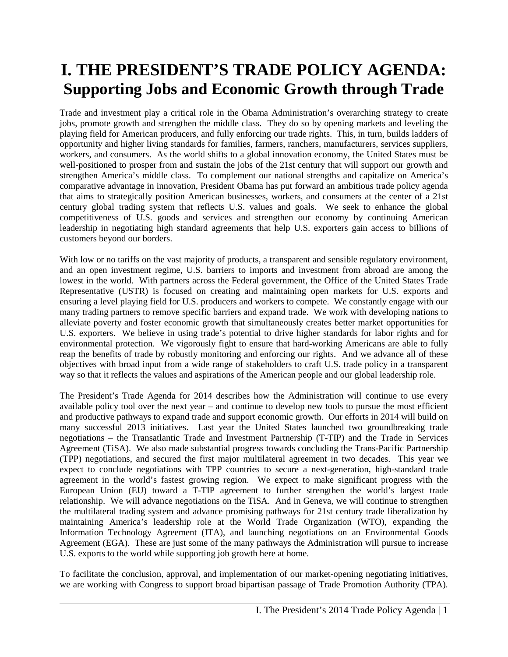# **I. THE PRESIDENT'S TRADE POLICY AGENDA: Supporting Jobs and Economic Growth through Trade**

Trade and investment play a critical role in the Obama Administration's overarching strategy to create jobs, promote growth and strengthen the middle class. They do so by opening markets and leveling the playing field for American producers, and fully enforcing our trade rights. This, in turn, builds ladders of opportunity and higher living standards for families, farmers, ranchers, manufacturers, services suppliers, workers, and consumers. As the world shifts to a global innovation economy, the United States must be well-positioned to prosper from and sustain the jobs of the 21st century that will support our growth and strengthen America's middle class. To complement our national strengths and capitalize on America's comparative advantage in innovation, President Obama has put forward an ambitious trade policy agenda that aims to strategically position American businesses, workers, and consumers at the center of a 21st century global trading system that reflects U.S. values and goals. We seek to enhance the global competitiveness of U.S. goods and services and strengthen our economy by continuing American leadership in negotiating high standard agreements that help U.S. exporters gain access to billions of customers beyond our borders.

With low or no tariffs on the vast majority of products, a transparent and sensible regulatory environment, and an open investment regime, U.S. barriers to imports and investment from abroad are among the lowest in the world. With partners across the Federal government, the Office of the United States Trade Representative (USTR) is focused on creating and maintaining open markets for U.S. exports and ensuring a level playing field for U.S. producers and workers to compete. We constantly engage with our many trading partners to remove specific barriers and expand trade. We work with developing nations to alleviate poverty and foster economic growth that simultaneously creates better market opportunities for U.S. exporters. We believe in using trade's potential to drive higher standards for labor rights and for environmental protection. We vigorously fight to ensure that hard-working Americans are able to fully reap the benefits of trade by robustly monitoring and enforcing our rights. And we advance all of these objectives with broad input from a wide range of stakeholders to craft U.S. trade policy in a transparent way so that it reflects the values and aspirations of the American people and our global leadership role.

The President's Trade Agenda for 2014 describes how the Administration will continue to use every available policy tool over the next year – and continue to develop new tools to pursue the most efficient and productive pathways to expand trade and support economic growth. Our efforts in 2014 will build on many successful 2013 initiatives. Last year the United States launched two groundbreaking trade negotiations – the Transatlantic Trade and Investment Partnership (T-TIP) and the Trade in Services Agreement (TiSA). We also made substantial progress towards concluding the Trans-Pacific Partnership (TPP) negotiations, and secured the first major multilateral agreement in two decades. This year we expect to conclude negotiations with TPP countries to secure a next-generation, high-standard trade agreement in the world's fastest growing region. We expect to make significant progress with the European Union (EU) toward a T-TIP agreement to further strengthen the world's largest trade relationship. We will advance negotiations on the TiSA. And in Geneva, we will continue to strengthen the multilateral trading system and advance promising pathways for 21st century trade liberalization by maintaining America's leadership role at the World Trade Organization (WTO), expanding the Information Technology Agreement (ITA), and launching negotiations on an Environmental Goods Agreement (EGA). These are just some of the many pathways the Administration will pursue to increase U.S. exports to the world while supporting job growth here at home.

To facilitate the conclusion, approval, and implementation of our market-opening negotiating initiatives, we are working with Congress to support broad bipartisan passage of Trade Promotion Authority (TPA).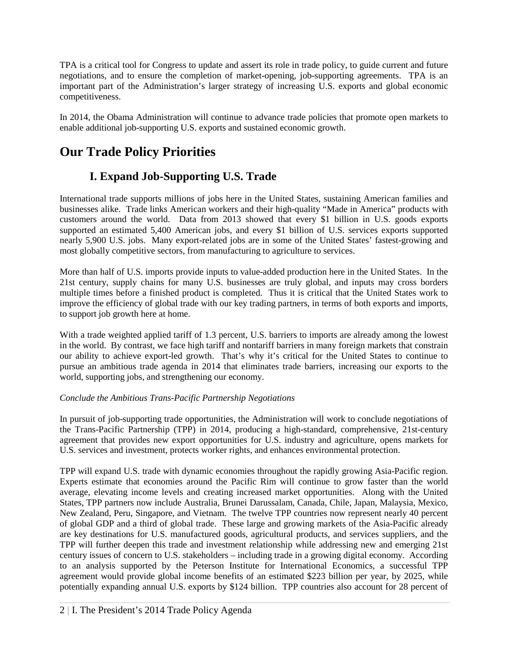TPA is a critical tool for Congress to update and assert its role in trade policy, to guide current and future negotiations, and to ensure the completion of market-opening, job-supporting agreements. TPA is an important part of the Administration's larger strategy of increasing U.S. exports and global economic competitiveness.

In 2014, the Obama Administration will continue to advance trade policies that promote open markets to enable additional job-supporting U.S. exports and sustained economic growth.

# **Our Trade Policy Priorities**

# **I. Expand Job-Supporting U.S. Trade**

International trade supports millions of jobs here in the United States, sustaining American families and businesses alike. Trade links American workers and their high-quality "Made in America" products with customers around the world. Data from 2013 showed that every \$1 billion in U.S. goods exports supported an estimated 5,400 American jobs, and every \$1 billion of U.S. services exports supported nearly 5,900 U.S. jobs. Many export-related jobs are in some of the United States' fastest-growing and most globally competitive sectors, from manufacturing to agriculture to services.

More than half of U.S. imports provide inputs to value-added production here in the United States. In the 21st century, supply chains for many U.S. businesses are truly global, and inputs may cross borders multiple times before a finished product is completed. Thus it is critical that the United States work to improve the efficiency of global trade with our key trading partners, in terms of both exports and imports, to support job growth here at home.

With a trade weighted applied tariff of 1.3 percent, U.S. barriers to imports are already among the lowest in the world. By contrast, we face high tariff and nontariff barriers in many foreign markets that constrain our ability to achieve export-led growth. That's why it's critical for the United States to continue to pursue an ambitious trade agenda in 2014 that eliminates trade barriers, increasing our exports to the world, supporting jobs, and strengthening our economy.

#### *Conclude the Ambitious Trans-Pacific Partnership Negotiations*

In pursuit of job-supporting trade opportunities, the Administration will work to conclude negotiations of the Trans-Pacific Partnership (TPP) in 2014, producing a high-standard, comprehensive, 21st-century agreement that provides new export opportunities for U.S. industry and agriculture, opens markets for U.S. services and investment, protects worker rights, and enhances environmental protection.

TPP will expand U.S. trade with dynamic economies throughout the rapidly growing Asia-Pacific region. Experts estimate that economies around the Pacific Rim will continue to grow faster than the world average, elevating income levels and creating increased market opportunities. Along with the United States, TPP partners now include Australia, Brunei Darussalam, Canada, Chile, Japan, Malaysia, Mexico, New Zealand, Peru, Singapore, and Vietnam. The twelve TPP countries now represent nearly 40 percent of global GDP and a third of global trade. These large and growing markets of the Asia-Pacific already are key destinations for U.S. manufactured goods, agricultural products, and services suppliers, and the TPP will further deepen this trade and investment relationship while addressing new and emerging 21st century issues of concern to U.S. stakeholders – including trade in a growing digital economy. According to an analysis supported by the Peterson Institute for International Economics, a successful TPP agreement would provide global income benefits of an estimated \$223 billion per year, by 2025, while potentially expanding annual U.S. exports by \$124 billion. TPP countries also account for 28 percent of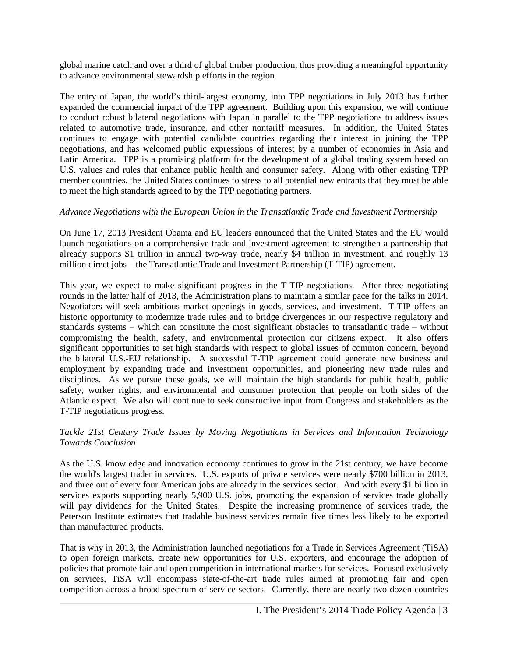global marine catch and over a third of global timber production, thus providing a meaningful opportunity to advance environmental stewardship efforts in the region.

The entry of Japan, the world's third-largest economy, into TPP negotiations in July 2013 has further expanded the commercial impact of the TPP agreement. Building upon this expansion, we will continue to conduct robust bilateral negotiations with Japan in parallel to the TPP negotiations to address issues related to automotive trade, insurance, and other nontariff measures. In addition, the United States continues to engage with potential candidate countries regarding their interest in joining the TPP negotiations, and has welcomed public expressions of interest by a number of economies in Asia and Latin America. TPP is a promising platform for the development of a global trading system based on U.S. values and rules that enhance public health and consumer safety. Along with other existing TPP member countries, the United States continues to stress to all potential new entrants that they must be able to meet the high standards agreed to by the TPP negotiating partners.

#### *Advance Negotiations with the European Union in the Transatlantic Trade and Investment Partnership*

On June 17, 2013 President Obama and EU leaders announced that the United States and the EU would launch negotiations on a comprehensive trade and investment agreement to strengthen a partnership that already supports \$1 trillion in annual two-way trade, nearly \$4 trillion in investment, and roughly 13 million direct jobs – the Transatlantic Trade and Investment Partnership (T-TIP) agreement.

This year, we expect to make significant progress in the T-TIP negotiations. After three negotiating rounds in the latter half of 2013, the Administration plans to maintain a similar pace for the talks in 2014. Negotiators will seek ambitious market openings in goods, services, and investment. T-TIP offers an historic opportunity to modernize trade rules and to bridge divergences in our respective regulatory and standards systems – which can constitute the most significant obstacles to transatlantic trade – without compromising the health, safety, and environmental protection our citizens expect. It also offers significant opportunities to set high standards with respect to global issues of common concern, beyond the bilateral U.S.-EU relationship. A successful T-TIP agreement could generate new business and employment by expanding trade and investment opportunities, and pioneering new trade rules and disciplines. As we pursue these goals, we will maintain the high standards for public health, public safety, worker rights, and environmental and consumer protection that people on both sides of the Atlantic expect. We also will continue to seek constructive input from Congress and stakeholders as the T-TIP negotiations progress.

#### *Tackle 21st Century Trade Issues by Moving Negotiations in Services and Information Technology Towards Conclusion*

As the U.S. knowledge and innovation economy continues to grow in the 21st century, we have become the world's largest trader in services. U.S. exports of private services were nearly \$700 billion in 2013, and three out of every four American jobs are already in the services sector. And with every \$1 billion in services exports supporting nearly 5,900 U.S. jobs, promoting the expansion of services trade globally will pay dividends for the United States. Despite the increasing prominence of services trade, the Peterson Institute estimates that tradable business services remain five times less likely to be exported than manufactured products.

That is why in 2013, the Administration launched negotiations for a Trade in Services Agreement (TiSA) to open foreign markets, create new opportunities for U.S. exporters, and encourage the adoption of policies that promote fair and open competition in international markets for services. Focused exclusively on services, TiSA will encompass state-of-the-art trade rules aimed at promoting fair and open competition across a broad spectrum of service sectors. Currently, there are nearly two dozen countries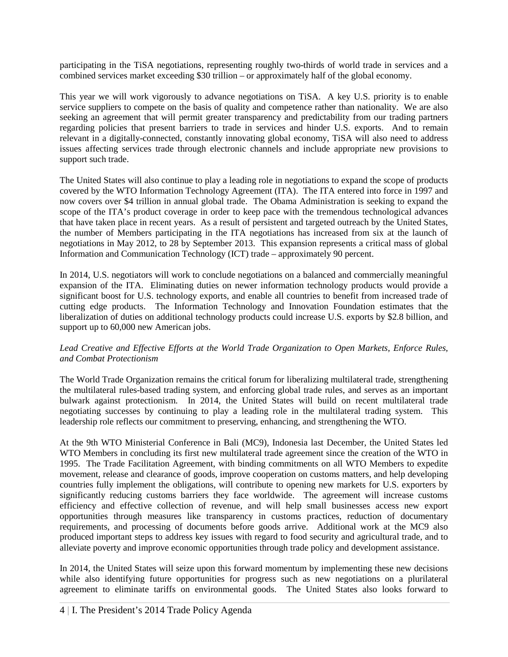participating in the TiSA negotiations, representing roughly two-thirds of world trade in services and a combined services market exceeding \$30 trillion – or approximately half of the global economy.

This year we will work vigorously to advance negotiations on TiSA. A key U.S. priority is to enable service suppliers to compete on the basis of quality and competence rather than nationality. We are also seeking an agreement that will permit greater transparency and predictability from our trading partners regarding policies that present barriers to trade in services and hinder U.S. exports. And to remain relevant in a digitally-connected, constantly innovating global economy, TiSA will also need to address issues affecting services trade through electronic channels and include appropriate new provisions to support such trade.

The United States will also continue to play a leading role in negotiations to expand the scope of products covered by the WTO Information Technology Agreement (ITA). The ITA entered into force in 1997 and now covers over \$4 trillion in annual global trade. The Obama Administration is seeking to expand the scope of the ITA's product coverage in order to keep pace with the tremendous technological advances that have taken place in recent years. As a result of persistent and targeted outreach by the United States, the number of Members participating in the ITA negotiations has increased from six at the launch of negotiations in May 2012, to 28 by September 2013. This expansion represents a critical mass of global Information and Communication Technology (ICT) trade – approximately 90 percent.

In 2014, U.S. negotiators will work to conclude negotiations on a balanced and commercially meaningful expansion of the ITA. Eliminating duties on newer information technology products would provide a significant boost for U.S. technology exports, and enable all countries to benefit from increased trade of cutting edge products. The Information Technology and Innovation Foundation estimates that the liberalization of duties on additional technology products could increase U.S. exports by \$2.8 billion, and support up to 60,000 new American jobs.

#### *Lead Creative and Effective Efforts at the World Trade Organization to Open Markets, Enforce Rules, and Combat Protectionism*

The World Trade Organization remains the critical forum for liberalizing multilateral trade, strengthening the multilateral rules-based trading system, and enforcing global trade rules, and serves as an important bulwark against protectionism. In 2014, the United States will build on recent multilateral trade negotiating successes by continuing to play a leading role in the multilateral trading system. This leadership role reflects our commitment to preserving, enhancing, and strengthening the WTO.

At the 9th WTO Ministerial Conference in Bali (MC9), Indonesia last December, the United States led WTO Members in concluding its first new multilateral trade agreement since the creation of the WTO in 1995. The Trade Facilitation Agreement, with binding commitments on all WTO Members to expedite movement, release and clearance of goods, improve cooperation on customs matters, and help developing countries fully implement the obligations, will contribute to opening new markets for U.S. exporters by significantly reducing customs barriers they face worldwide. The agreement will increase customs efficiency and effective collection of revenue, and will help small businesses access new export opportunities through measures like transparency in customs practices, reduction of documentary requirements, and processing of documents before goods arrive. Additional work at the MC9 also produced important steps to address key issues with regard to food security and agricultural trade, and to alleviate poverty and improve economic opportunities through trade policy and development assistance.

In 2014, the United States will seize upon this forward momentum by implementing these new decisions while also identifying future opportunities for progress such as new negotiations on a plurilateral agreement to eliminate tariffs on environmental goods. The United States also looks forward to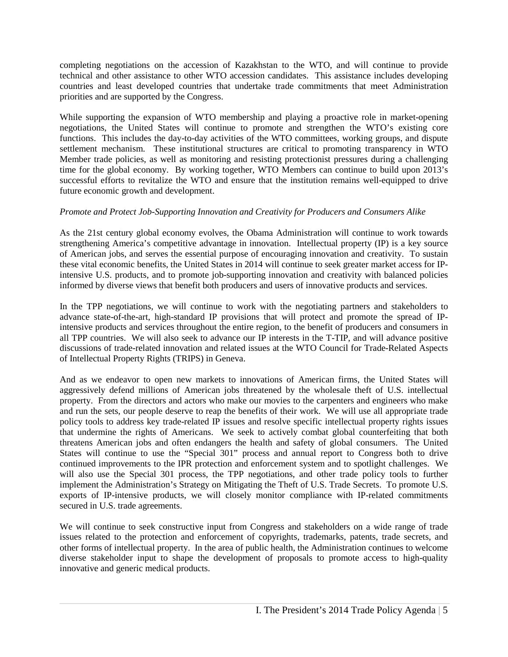completing negotiations on the accession of Kazakhstan to the WTO, and will continue to provide technical and other assistance to other WTO accession candidates. This assistance includes developing countries and least developed countries that undertake trade commitments that meet Administration priorities and are supported by the Congress.

While supporting the expansion of WTO membership and playing a proactive role in market-opening negotiations, the United States will continue to promote and strengthen the WTO's existing core functions. This includes the day-to-day activities of the WTO committees, working groups, and dispute settlement mechanism. These institutional structures are critical to promoting transparency in WTO Member trade policies, as well as monitoring and resisting protectionist pressures during a challenging time for the global economy. By working together, WTO Members can continue to build upon 2013's successful efforts to revitalize the WTO and ensure that the institution remains well-equipped to drive future economic growth and development.

#### *Promote and Protect Job-Supporting Innovation and Creativity for Producers and Consumers Alike*

As the 21st century global economy evolves, the Obama Administration will continue to work towards strengthening America's competitive advantage in innovation. Intellectual property (IP) is a key source of American jobs, and serves the essential purpose of encouraging innovation and creativity. To sustain these vital economic benefits, the United States in 2014 will continue to seek greater market access for IPintensive U.S. products, and to promote job-supporting innovation and creativity with balanced policies informed by diverse views that benefit both producers and users of innovative products and services.

In the TPP negotiations, we will continue to work with the negotiating partners and stakeholders to advance state-of-the-art, high-standard IP provisions that will protect and promote the spread of IPintensive products and services throughout the entire region, to the benefit of producers and consumers in all TPP countries. We will also seek to advance our IP interests in the T-TIP, and will advance positive discussions of trade-related innovation and related issues at the WTO Council for Trade-Related Aspects of Intellectual Property Rights (TRIPS) in Geneva.

And as we endeavor to open new markets to innovations of American firms, the United States will aggressively defend millions of American jobs threatened by the wholesale theft of U.S. intellectual property. From the directors and actors who make our movies to the carpenters and engineers who make and run the sets, our people deserve to reap the benefits of their work. We will use all appropriate trade policy tools to address key trade-related IP issues and resolve specific intellectual property rights issues that undermine the rights of Americans. We seek to actively combat global counterfeiting that both threatens American jobs and often endangers the health and safety of global consumers. The United States will continue to use the "Special 301" process and annual report to Congress both to drive continued improvements to the IPR protection and enforcement system and to spotlight challenges. We will also use the Special 301 process, the TPP negotiations, and other trade policy tools to further implement the Administration's Strategy on Mitigating the Theft of U.S. Trade Secrets. To promote U.S. exports of IP-intensive products, we will closely monitor compliance with IP-related commitments secured in U.S. trade agreements.

We will continue to seek constructive input from Congress and stakeholders on a wide range of trade issues related to the protection and enforcement of copyrights, trademarks, patents, trade secrets, and other forms of intellectual property. In the area of public health, the Administration continues to welcome diverse stakeholder input to shape the development of proposals to promote access to high-quality innovative and generic medical products.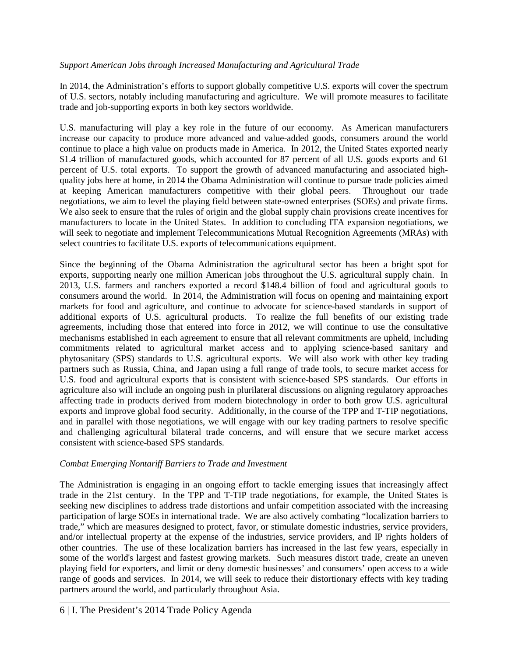#### *Support American Jobs through Increased Manufacturing and Agricultural Trade*

In 2014, the Administration's efforts to support globally competitive U.S. exports will cover the spectrum of U.S. sectors, notably including manufacturing and agriculture. We will promote measures to facilitate trade and job-supporting exports in both key sectors worldwide.

U.S. manufacturing will play a key role in the future of our economy. As American manufacturers increase our capacity to produce more advanced and value-added goods, consumers around the world continue to place a high value on products made in America. In 2012, the United States exported nearly \$1.4 trillion of manufactured goods, which accounted for 87 percent of all U.S. goods exports and 61 percent of U.S. total exports. To support the growth of advanced manufacturing and associated highquality jobs here at home, in 2014 the Obama Administration will continue to pursue trade policies aimed at keeping American manufacturers competitive with their global peers. Throughout our trade negotiations, we aim to level the playing field between state-owned enterprises (SOEs) and private firms. We also seek to ensure that the rules of origin and the global supply chain provisions create incentives for manufacturers to locate in the United States. In addition to concluding ITA expansion negotiations, we will seek to negotiate and implement Telecommunications Mutual Recognition Agreements (MRAs) with select countries to facilitate U.S. exports of telecommunications equipment.

Since the beginning of the Obama Administration the agricultural sector has been a bright spot for exports, supporting nearly one million American jobs throughout the U.S. agricultural supply chain. In 2013, U.S. farmers and ranchers exported a record \$148.4 billion of food and agricultural goods to consumers around the world. In 2014, the Administration will focus on opening and maintaining export markets for food and agriculture, and continue to advocate for science-based standards in support of additional exports of U.S. agricultural products. To realize the full benefits of our existing trade agreements, including those that entered into force in 2012, we will continue to use the consultative mechanisms established in each agreement to ensure that all relevant commitments are upheld, including commitments related to agricultural market access and to applying science-based sanitary and phytosanitary (SPS) standards to U.S. agricultural exports. We will also work with other key trading partners such as Russia, China, and Japan using a full range of trade tools, to secure market access for U.S. food and agricultural exports that is consistent with science-based SPS standards. Our efforts in agriculture also will include an ongoing push in plurilateral discussions on aligning regulatory approaches affecting trade in products derived from modern biotechnology in order to both grow U.S. agricultural exports and improve global food security. Additionally, in the course of the TPP and T-TIP negotiations, and in parallel with those negotiations, we will engage with our key trading partners to resolve specific and challenging agricultural bilateral trade concerns, and will ensure that we secure market access consistent with science-based SPS standards.

#### *Combat Emerging Nontariff Barriers to Trade and Investment*

The Administration is engaging in an ongoing effort to tackle emerging issues that increasingly affect trade in the 21st century. In the TPP and T-TIP trade negotiations, for example, the United States is seeking new disciplines to address trade distortions and unfair competition associated with the increasing participation of large SOEs in international trade. We are also actively combating "localization barriers to trade," which are measures designed to protect, favor, or stimulate domestic industries, service providers, and/or intellectual property at the expense of the industries, service providers, and IP rights holders of other countries. The use of these localization barriers has increased in the last few years, especially in some of the world's largest and fastest growing markets. Such measures distort trade, create an uneven playing field for exporters, and limit or deny domestic businesses' and consumers' open access to a wide range of goods and services. In 2014, we will seek to reduce their distortionary effects with key trading partners around the world, and particularly throughout Asia.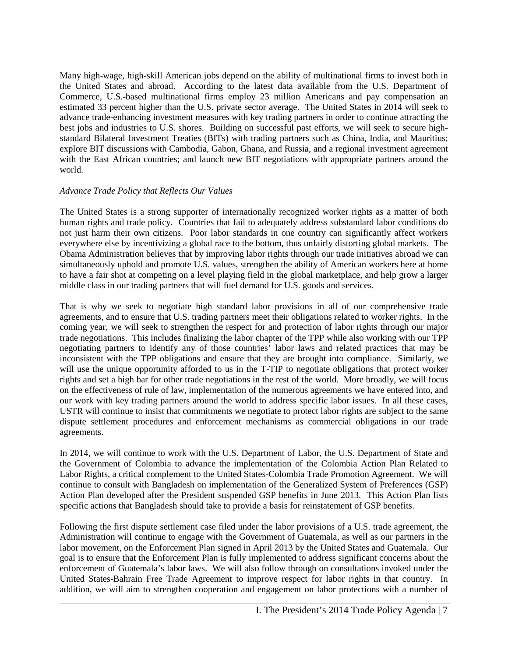Many high-wage, high-skill American jobs depend on the ability of multinational firms to invest both in the United States and abroad. According to the latest data available from the U.S. Department of Commerce, U.S.-based multinational firms employ 23 million Americans and pay compensation an estimated 33 percent higher than the U.S. private sector average. The United States in 2014 will seek to advance trade-enhancing investment measures with key trading partners in order to continue attracting the best jobs and industries to U.S. shores. Building on successful past efforts, we will seek to secure highstandard Bilateral Investment Treaties (BITs) with trading partners such as China, India, and Mauritius; explore BIT discussions with Cambodia, Gabon, Ghana, and Russia, and a regional investment agreement with the East African countries; and launch new BIT negotiations with appropriate partners around the world.

#### *Advance Trade Policy that Reflects Our Values*

The United States is a strong supporter of internationally recognized worker rights as a matter of both human rights and trade policy. Countries that fail to adequately address substandard labor conditions do not just harm their own citizens. Poor labor standards in one country can significantly affect workers everywhere else by incentivizing a global race to the bottom, thus unfairly distorting global markets. The Obama Administration believes that by improving labor rights through our trade initiatives abroad we can simultaneously uphold and promote U.S. values, strengthen the ability of American workers here at home to have a fair shot at competing on a level playing field in the global marketplace, and help grow a larger middle class in our trading partners that will fuel demand for U.S. goods and services.

That is why we seek to negotiate high standard labor provisions in all of our comprehensive trade agreements, and to ensure that U.S. trading partners meet their obligations related to worker rights. In the coming year, we will seek to strengthen the respect for and protection of labor rights through our major trade negotiations. This includes finalizing the labor chapter of the TPP while also working with our TPP negotiating partners to identify any of those countries' labor laws and related practices that may be inconsistent with the TPP obligations and ensure that they are brought into compliance. Similarly, we will use the unique opportunity afforded to us in the T-TIP to negotiate obligations that protect worker rights and set a high bar for other trade negotiations in the rest of the world. More broadly, we will focus on the effectiveness of rule of law, implementation of the numerous agreements we have entered into, and our work with key trading partners around the world to address specific labor issues. In all these cases, USTR will continue to insist that commitments we negotiate to protect labor rights are subject to the same dispute settlement procedures and enforcement mechanisms as commercial obligations in our trade agreements.

In 2014, we will continue to work with the U.S. Department of Labor, the U.S. Department of State and the Government of Colombia to advance the implementation of the Colombia Action Plan Related to Labor Rights, a critical complement to the United States-Colombia Trade Promotion Agreement. We will continue to consult with Bangladesh on implementation of the Generalized System of Preferences (GSP) Action Plan developed after the President suspended GSP benefits in June 2013. This Action Plan lists specific actions that Bangladesh should take to provide a basis for reinstatement of GSP benefits.

Following the first dispute settlement case filed under the labor provisions of a U.S. trade agreement, the Administration will continue to engage with the Government of Guatemala, as well as our partners in the labor movement, on the Enforcement Plan signed in April 2013 by the United States and Guatemala. Our goal is to ensure that the Enforcement Plan is fully implemented to address significant concerns about the enforcement of Guatemala's labor laws. We will also follow through on consultations invoked under the United States-Bahrain Free Trade Agreement to improve respect for labor rights in that country. In addition, we will aim to strengthen cooperation and engagement on labor protections with a number of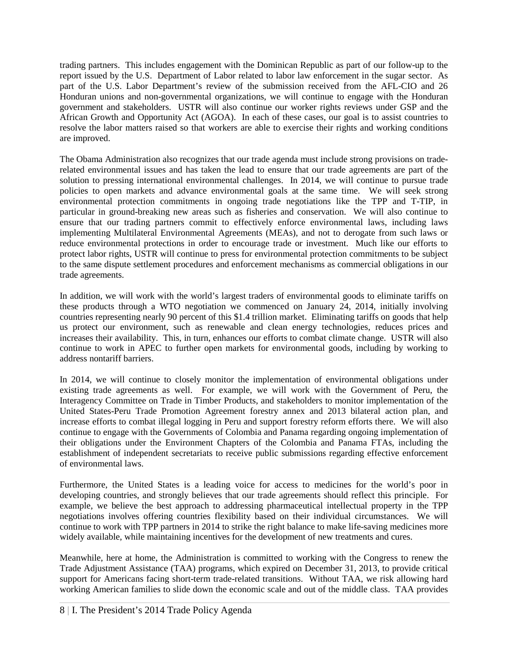trading partners. This includes engagement with the Dominican Republic as part of our follow-up to the report issued by the U.S. Department of Labor related to labor law enforcement in the sugar sector. As part of the U.S. Labor Department's review of the submission received from the AFL-CIO and 26 Honduran unions and non-governmental organizations, we will continue to engage with the Honduran government and stakeholders.USTR will also continue our worker rights reviews under GSP and the African Growth and Opportunity Act (AGOA). In each of these cases, our goal is to assist countries to resolve the labor matters raised so that workers are able to exercise their rights and working conditions are improved.

The Obama Administration also recognizes that our trade agenda must include strong provisions on traderelated environmental issues and has taken the lead to ensure that our trade agreements are part of the solution to pressing international environmental challenges. In 2014, we will continue to pursue trade policies to open markets and advance environmental goals at the same time. We will seek strong environmental protection commitments in ongoing trade negotiations like the TPP and T-TIP, in particular in ground-breaking new areas such as fisheries and conservation. We will also continue to ensure that our trading partners commit to effectively enforce environmental laws, including laws implementing Multilateral Environmental Agreements (MEAs), and not to derogate from such laws or reduce environmental protections in order to encourage trade or investment. Much like our efforts to protect labor rights, USTR will continue to press for environmental protection commitments to be subject to the same dispute settlement procedures and enforcement mechanisms as commercial obligations in our trade agreements.

In addition, we will work with the world's largest traders of environmental goods to eliminate tariffs on these products through a WTO negotiation we commenced on January 24, 2014, initially involving countries representing nearly 90 percent of this \$1.4 trillion market. Eliminating tariffs on goods that help us protect our environment, such as renewable and clean energy technologies, reduces prices and increases their availability. This, in turn, enhances our efforts to combat climate change. USTR will also continue to work in APEC to further open markets for environmental goods, including by working to address nontariff barriers.

In 2014, we will continue to closely monitor the implementation of environmental obligations under existing trade agreements as well. For example, we will work with the Government of Peru, the Interagency Committee on Trade in Timber Products, and stakeholders to monitor implementation of the United States-Peru Trade Promotion Agreement forestry annex and 2013 bilateral action plan, and increase efforts to combat illegal logging in Peru and support forestry reform efforts there. We will also continue to engage with the Governments of Colombia and Panama regarding ongoing implementation of their obligations under the Environment Chapters of the Colombia and Panama FTAs, including the establishment of independent secretariats to receive public submissions regarding effective enforcement of environmental laws.

Furthermore, the United States is a leading voice for access to medicines for the world's poor in developing countries, and strongly believes that our trade agreements should reflect this principle. For example, we believe the best approach to addressing pharmaceutical intellectual property in the TPP negotiations involves offering countries flexibility based on their individual circumstances. We will continue to work with TPP partners in 2014 to strike the right balance to make life-saving medicines more widely available, while maintaining incentives for the development of new treatments and cures.

Meanwhile, here at home, the Administration is committed to working with the Congress to renew the Trade Adjustment Assistance (TAA) programs, which expired on December 31, 2013, to provide critical support for Americans facing short-term trade-related transitions. Without TAA, we risk allowing hard working American families to slide down the economic scale and out of the middle class. TAA provides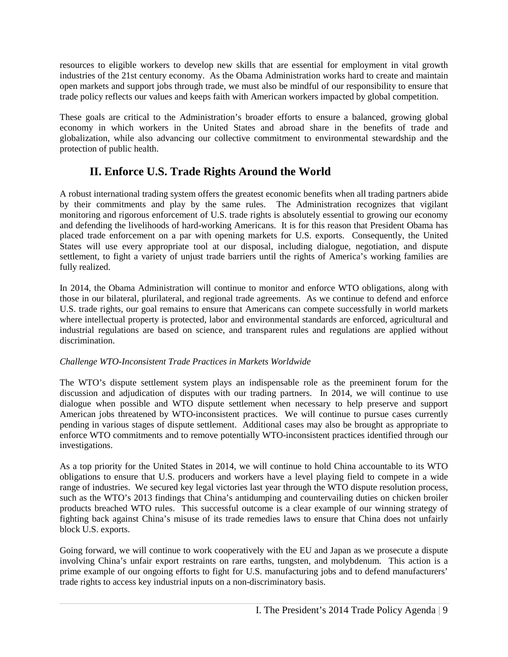resources to eligible workers to develop new skills that are essential for employment in vital growth industries of the 21st century economy. As the Obama Administration works hard to create and maintain open markets and support jobs through trade, we must also be mindful of our responsibility to ensure that trade policy reflects our values and keeps faith with American workers impacted by global competition.

These goals are critical to the Administration's broader efforts to ensure a balanced, growing global economy in which workers in the United States and abroad share in the benefits of trade and globalization, while also advancing our collective commitment to environmental stewardship and the protection of public health.

# **II. Enforce U.S. Trade Rights Around the World**

A robust international trading system offers the greatest economic benefits when all trading partners abide by their commitments and play by the same rules. The Administration recognizes that vigilant monitoring and rigorous enforcement of U.S. trade rights is absolutely essential to growing our economy and defending the livelihoods of hard-working Americans. It is for this reason that President Obama has placed trade enforcement on a par with opening markets for U.S. exports. Consequently, the United States will use every appropriate tool at our disposal, including dialogue, negotiation, and dispute settlement, to fight a variety of unjust trade barriers until the rights of America's working families are fully realized.

In 2014, the Obama Administration will continue to monitor and enforce WTO obligations, along with those in our bilateral, plurilateral, and regional trade agreements. As we continue to defend and enforce U.S. trade rights, our goal remains to ensure that Americans can compete successfully in world markets where intellectual property is protected, labor and environmental standards are enforced, agricultural and industrial regulations are based on science, and transparent rules and regulations are applied without discrimination.

#### *Challenge WTO-Inconsistent Trade Practices in Markets Worldwide*

The WTO's dispute settlement system plays an indispensable role as the preeminent forum for the discussion and adjudication of disputes with our trading partners. In 2014, we will continue to use dialogue when possible and WTO dispute settlement when necessary to help preserve and support American jobs threatened by WTO-inconsistent practices. We will continue to pursue cases currently pending in various stages of dispute settlement. Additional cases may also be brought as appropriate to enforce WTO commitments and to remove potentially WTO-inconsistent practices identified through our investigations.

As a top priority for the United States in 2014, we will continue to hold China accountable to its WTO obligations to ensure that U.S. producers and workers have a level playing field to compete in a wide range of industries. We secured key legal victories last year through the WTO dispute resolution process, such as the WTO's 2013 findings that China's antidumping and countervailing duties on chicken broiler products breached WTO rules. This successful outcome is a clear example of our winning strategy of fighting back against China's misuse of its trade remedies laws to ensure that China does not unfairly block U.S. exports.

Going forward, we will continue to work cooperatively with the EU and Japan as we prosecute a dispute involving China's unfair export restraints on rare earths, tungsten, and molybdenum. This action is a prime example of our ongoing efforts to fight for U.S. manufacturing jobs and to defend manufacturers' trade rights to access key industrial inputs on a non-discriminatory basis.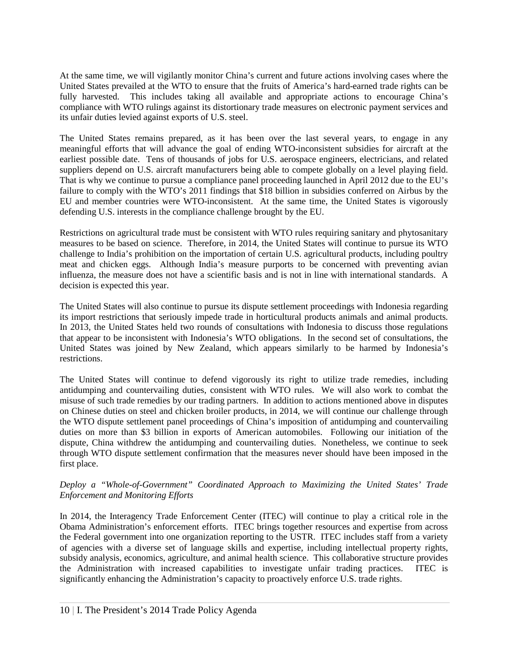At the same time, we will vigilantly monitor China's current and future actions involving cases where the United States prevailed at the WTO to ensure that the fruits of America's hard-earned trade rights can be fully harvested. This includes taking all available and appropriate actions to encourage China's compliance with WTO rulings against its distortionary trade measures on electronic payment services and its unfair duties levied against exports of U.S. steel.

The United States remains prepared, as it has been over the last several years, to engage in any meaningful efforts that will advance the goal of ending WTO-inconsistent subsidies for aircraft at the earliest possible date. Tens of thousands of jobs for U.S. aerospace engineers, electricians, and related suppliers depend on U.S. aircraft manufacturers being able to compete globally on a level playing field. That is why we continue to pursue a compliance panel proceeding launched in April 2012 due to the EU's failure to comply with the WTO's 2011 findings that \$18 billion in subsidies conferred on Airbus by the EU and member countries were WTO-inconsistent. At the same time, the United States is vigorously defending U.S. interests in the compliance challenge brought by the EU.

Restrictions on agricultural trade must be consistent with WTO rules requiring sanitary and phytosanitary measures to be based on science. Therefore, in 2014, the United States will continue to pursue its WTO challenge to India's prohibition on the importation of certain U.S. agricultural products, including poultry meat and chicken eggs. Although India's measure purports to be concerned with preventing avian influenza, the measure does not have a scientific basis and is not in line with international standards. A decision is expected this year.

The United States will also continue to pursue its dispute settlement proceedings with Indonesia regarding its import restrictions that seriously impede trade in horticultural products animals and animal products. In 2013, the United States held two rounds of consultations with Indonesia to discuss those regulations that appear to be inconsistent with Indonesia's WTO obligations. In the second set of consultations, the United States was joined by New Zealand, which appears similarly to be harmed by Indonesia's restrictions.

The United States will continue to defend vigorously its right to utilize trade remedies, including antidumping and countervailing duties, consistent with WTO rules. We will also work to combat the misuse of such trade remedies by our trading partners. In addition to actions mentioned above in disputes on Chinese duties on steel and chicken broiler products, in 2014, we will continue our challenge through the WTO dispute settlement panel proceedings of China's imposition of antidumping and countervailing duties on more than \$3 billion in exports of American automobiles. Following our initiation of the dispute, China withdrew the antidumping and countervailing duties. Nonetheless, we continue to seek through WTO dispute settlement confirmation that the measures never should have been imposed in the first place.

#### *Deploy a "Whole-of-Government" Coordinated Approach to Maximizing the United States' Trade Enforcement and Monitoring Efforts*

In 2014, the Interagency Trade Enforcement Center (ITEC) will continue to play a critical role in the Obama Administration's enforcement efforts. ITEC brings together resources and expertise from across the Federal government into one organization reporting to the USTR. ITEC includes staff from a variety of agencies with a diverse set of language skills and expertise, including intellectual property rights, subsidy analysis, economics, agriculture, and animal health science. This collaborative structure provides the Administration with increased capabilities to investigate unfair trading practices. ITEC is significantly enhancing the Administration's capacity to proactively enforce U.S. trade rights.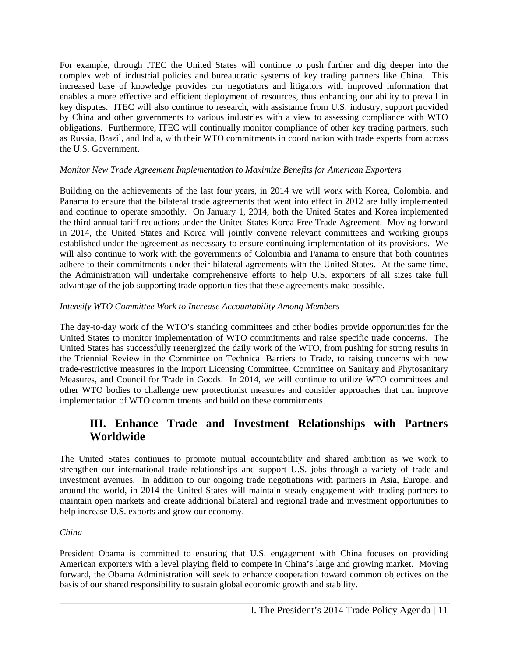For example, through ITEC the United States will continue to push further and dig deeper into the complex web of industrial policies and bureaucratic systems of key trading partners like China. This increased base of knowledge provides our negotiators and litigators with improved information that enables a more effective and efficient deployment of resources, thus enhancing our ability to prevail in key disputes. ITEC will also continue to research, with assistance from U.S. industry, support provided by China and other governments to various industries with a view to assessing compliance with WTO obligations. Furthermore, ITEC will continually monitor compliance of other key trading partners, such as Russia, Brazil, and India, with their WTO commitments in coordination with trade experts from across the U.S. Government.

#### *Monitor New Trade Agreement Implementation to Maximize Benefits for American Exporters*

Building on the achievements of the last four years, in 2014 we will work with Korea, Colombia, and Panama to ensure that the bilateral trade agreements that went into effect in 2012 are fully implemented and continue to operate smoothly. On January 1, 2014, both the United States and Korea implemented the third annual tariff reductions under the United States-Korea Free Trade Agreement. Moving forward in 2014, the United States and Korea will jointly convene relevant committees and working groups established under the agreement as necessary to ensure continuing implementation of its provisions. We will also continue to work with the governments of Colombia and Panama to ensure that both countries adhere to their commitments under their bilateral agreements with the United States. At the same time, the Administration will undertake comprehensive efforts to help U.S. exporters of all sizes take full advantage of the job-supporting trade opportunities that these agreements make possible.

#### *Intensify WTO Committee Work to Increase Accountability Among Members*

The day-to-day work of the WTO's standing committees and other bodies provide opportunities for the United States to monitor implementation of WTO commitments and raise specific trade concerns. The United States has successfully reenergized the daily work of the WTO, from pushing for strong results in the Triennial Review in the Committee on Technical Barriers to Trade, to raising concerns with new trade-restrictive measures in the Import Licensing Committee, Committee on Sanitary and Phytosanitary Measures, and Council for Trade in Goods. In 2014, we will continue to utilize WTO committees and other WTO bodies to challenge new protectionist measures and consider approaches that can improve implementation of WTO commitments and build on these commitments.

### **III. Enhance Trade and Investment Relationships with Partners Worldwide**

The United States continues to promote mutual accountability and shared ambition as we work to strengthen our international trade relationships and support U.S. jobs through a variety of trade and investment avenues. In addition to our ongoing trade negotiations with partners in Asia, Europe, and around the world, in 2014 the United States will maintain steady engagement with trading partners to maintain open markets and create additional bilateral and regional trade and investment opportunities to help increase U.S. exports and grow our economy.

#### *China*

President Obama is committed to ensuring that U.S. engagement with China focuses on providing American exporters with a level playing field to compete in China's large and growing market. Moving forward, the Obama Administration will seek to enhance cooperation toward common objectives on the basis of our shared responsibility to sustain global economic growth and stability.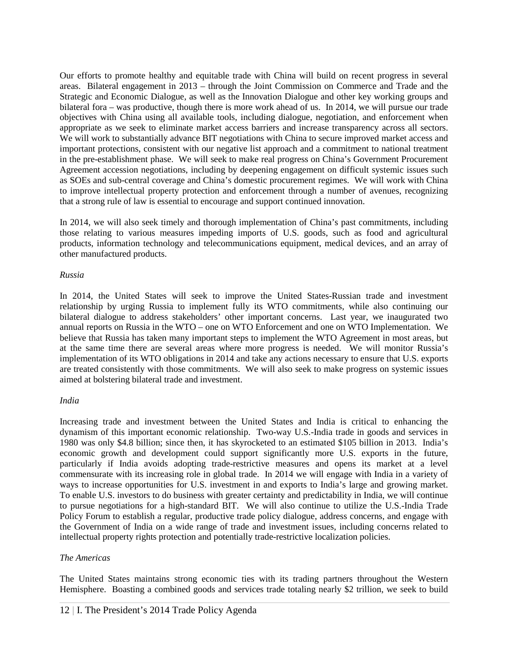Our efforts to promote healthy and equitable trade with China will build on recent progress in several areas. Bilateral engagement in 2013 – through the Joint Commission on Commerce and Trade and the Strategic and Economic Dialogue, as well as the Innovation Dialogue and other key working groups and bilateral fora – was productive, though there is more work ahead of us. In 2014, we will pursue our trade objectives with China using all available tools, including dialogue, negotiation, and enforcement when appropriate as we seek to eliminate market access barriers and increase transparency across all sectors. We will work to substantially advance BIT negotiations with China to secure improved market access and important protections, consistent with our negative list approach and a commitment to national treatment in the pre-establishment phase. We will seek to make real progress on China's Government Procurement Agreement accession negotiations, including by deepening engagement on difficult systemic issues such as SOEs and sub-central coverage and China's domestic procurement regimes. We will work with China to improve intellectual property protection and enforcement through a number of avenues, recognizing that a strong rule of law is essential to encourage and support continued innovation.

In 2014, we will also seek timely and thorough implementation of China's past commitments, including those relating to various measures impeding imports of U.S. goods, such as food and agricultural products, information technology and telecommunications equipment, medical devices, and an array of other manufactured products.

#### *Russia*

In 2014, the United States will seek to improve the United States-Russian trade and investment relationship by urging Russia to implement fully its WTO commitments, while also continuing our bilateral dialogue to address stakeholders' other important concerns. Last year, we inaugurated two annual reports on Russia in the WTO – one on WTO Enforcement and one on WTO Implementation. We believe that Russia has taken many important steps to implement the WTO Agreement in most areas, but at the same time there are several areas where more progress is needed. We will monitor Russia's implementation of its WTO obligations in 2014 and take any actions necessary to ensure that U.S. exports are treated consistently with those commitments. We will also seek to make progress on systemic issues aimed at bolstering bilateral trade and investment.

#### *India*

Increasing trade and investment between the United States and India is critical to enhancing the dynamism of this important economic relationship. Two-way U.S.-India trade in goods and services in 1980 was only \$4.8 billion; since then, it has skyrocketed to an estimated \$105 billion in 2013. India's economic growth and development could support significantly more U.S. exports in the future, particularly if India avoids adopting trade-restrictive measures and opens its market at a level commensurate with its increasing role in global trade. In 2014 we will engage with India in a variety of ways to increase opportunities for U.S. investment in and exports to India's large and growing market. To enable U.S. investors to do business with greater certainty and predictability in India, we will continue to pursue negotiations for a high-standard BIT. We will also continue to utilize the U.S.-India Trade Policy Forum to establish a regular, productive trade policy dialogue, address concerns, and engage with the Government of India on a wide range of trade and investment issues, including concerns related to intellectual property rights protection and potentially trade-restrictive localization policies.

#### *The Americas*

The United States maintains strong economic ties with its trading partners throughout the Western Hemisphere. Boasting a combined goods and services trade totaling nearly \$2 trillion, we seek to build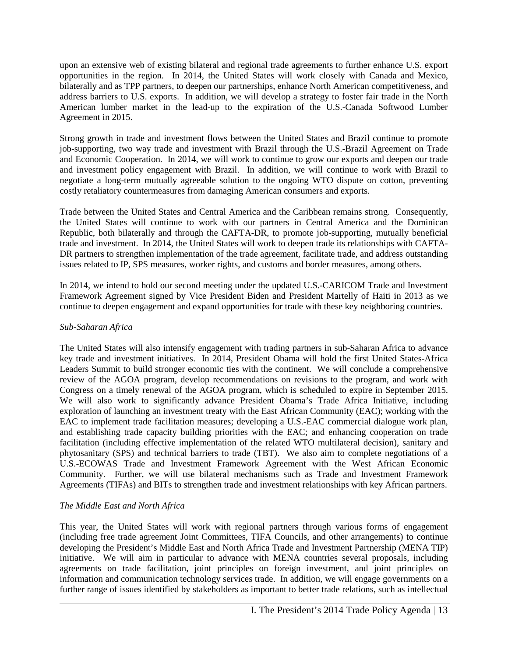upon an extensive web of existing bilateral and regional trade agreements to further enhance U.S. export opportunities in the region. In 2014, the United States will work closely with Canada and Mexico, bilaterally and as TPP partners, to deepen our partnerships, enhance North American competitiveness, and address barriers to U.S. exports. In addition, we will develop a strategy to foster fair trade in the North American lumber market in the lead-up to the expiration of the U.S.-Canada Softwood Lumber Agreement in 2015.

Strong growth in trade and investment flows between the United States and Brazil continue to promote job-supporting, two way trade and investment with Brazil through the U.S.-Brazil Agreement on Trade and Economic Cooperation. In 2014, we will work to continue to grow our exports and deepen our trade and investment policy engagement with Brazil. In addition, we will continue to work with Brazil to negotiate a long-term mutually agreeable solution to the ongoing WTO dispute on cotton, preventing costly retaliatory countermeasures from damaging American consumers and exports.

Trade between the United States and Central America and the Caribbean remains strong. Consequently, the United States will continue to work with our partners in Central America and the Dominican Republic, both bilaterally and through the CAFTA-DR, to promote job-supporting, mutually beneficial trade and investment. In 2014, the United States will work to deepen trade its relationships with CAFTA-DR partners to strengthen implementation of the trade agreement, facilitate trade, and address outstanding issues related to IP, SPS measures, worker rights, and customs and border measures, among others.

In 2014, we intend to hold our second meeting under the updated U.S.-CARICOM Trade and Investment Framework Agreement signed by Vice President Biden and President Martelly of Haiti in 2013 as we continue to deepen engagement and expand opportunities for trade with these key neighboring countries.

#### *Sub-Saharan Africa*

The United States will also intensify engagement with trading partners in sub-Saharan Africa to advance key trade and investment initiatives. In 2014, President Obama will hold the first United States-Africa Leaders Summit to build stronger economic ties with the continent. We will conclude a comprehensive review of the AGOA program, develop recommendations on revisions to the program, and work with Congress on a timely renewal of the AGOA program, which is scheduled to expire in September 2015. We will also work to significantly advance President Obama's Trade Africa Initiative, including exploration of launching an investment treaty with the East African Community (EAC); working with the EAC to implement trade facilitation measures; developing a U.S.-EAC commercial dialogue work plan, and establishing trade capacity building priorities with the EAC; and enhancing cooperation on trade facilitation (including effective implementation of the related WTO multilateral decision), sanitary and phytosanitary (SPS) and technical barriers to trade (TBT). We also aim to complete negotiations of a U.S.-ECOWAS Trade and Investment Framework Agreement with the West African Economic Community. Further, we will use bilateral mechanisms such as Trade and Investment Framework Agreements (TIFAs) and BITs to strengthen trade and investment relationships with key African partners.

#### *The Middle East and North Africa*

This year, the United States will work with regional partners through various forms of engagement (including free trade agreement Joint Committees, TIFA Councils, and other arrangements) to continue developing the President's Middle East and North Africa Trade and Investment Partnership (MENA TIP) initiative. We will aim in particular to advance with MENA countries several proposals, including agreements on trade facilitation, joint principles on foreign investment, and joint principles on information and communication technology services trade. In addition, we will engage governments on a further range of issues identified by stakeholders as important to better trade relations, such as intellectual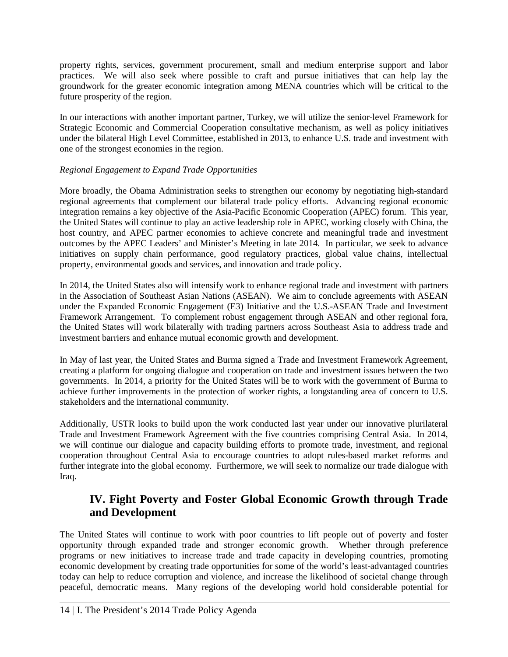property rights, services, government procurement, small and medium enterprise support and labor practices. We will also seek where possible to craft and pursue initiatives that can help lay the groundwork for the greater economic integration among MENA countries which will be critical to the future prosperity of the region.

In our interactions with another important partner, Turkey, we will utilize the senior-level Framework for Strategic Economic and Commercial Cooperation consultative mechanism, as well as policy initiatives under the bilateral High Level Committee, established in 2013, to enhance U.S. trade and investment with one of the strongest economies in the region.

#### *Regional Engagement to Expand Trade Opportunities*

More broadly, the Obama Administration seeks to strengthen our economy by negotiating high-standard regional agreements that complement our bilateral trade policy efforts. Advancing regional economic integration remains a key objective of the Asia-Pacific Economic Cooperation (APEC) forum. This year, the United States will continue to play an active leadership role in APEC, working closely with China, the host country, and APEC partner economies to achieve concrete and meaningful trade and investment outcomes by the APEC Leaders' and Minister's Meeting in late 2014. In particular, we seek to advance initiatives on supply chain performance, good regulatory practices, global value chains, intellectual property, environmental goods and services, and innovation and trade policy.

In 2014, the United States also will intensify work to enhance regional trade and investment with partners in the Association of Southeast Asian Nations (ASEAN). We aim to conclude agreements with ASEAN under the Expanded Economic Engagement (E3) Initiative and the U.S.-ASEAN Trade and Investment Framework Arrangement. To complement robust engagement through ASEAN and other regional fora, the United States will work bilaterally with trading partners across Southeast Asia to address trade and investment barriers and enhance mutual economic growth and development.

In May of last year, the United States and Burma signed a Trade and Investment Framework Agreement, creating a platform for ongoing dialogue and cooperation on trade and investment issues between the two governments. In 2014, a priority for the United States will be to work with the government of Burma to achieve further improvements in the protection of worker rights, a longstanding area of concern to U.S. stakeholders and the international community.

Additionally, USTR looks to build upon the work conducted last year under our innovative plurilateral Trade and Investment Framework Agreement with the five countries comprising Central Asia. In 2014, we will continue our dialogue and capacity building efforts to promote trade, investment, and regional cooperation throughout Central Asia to encourage countries to adopt rules-based market reforms and further integrate into the global economy. Furthermore, we will seek to normalize our trade dialogue with Iraq.

# **IV. Fight Poverty and Foster Global Economic Growth through Trade and Development**

The United States will continue to work with poor countries to lift people out of poverty and foster opportunity through expanded trade and stronger economic growth. Whether through preference programs or new initiatives to increase trade and trade capacity in developing countries, promoting economic development by creating trade opportunities for some of the world's least-advantaged countries today can help to reduce corruption and violence, and increase the likelihood of societal change through peaceful, democratic means. Many regions of the developing world hold considerable potential for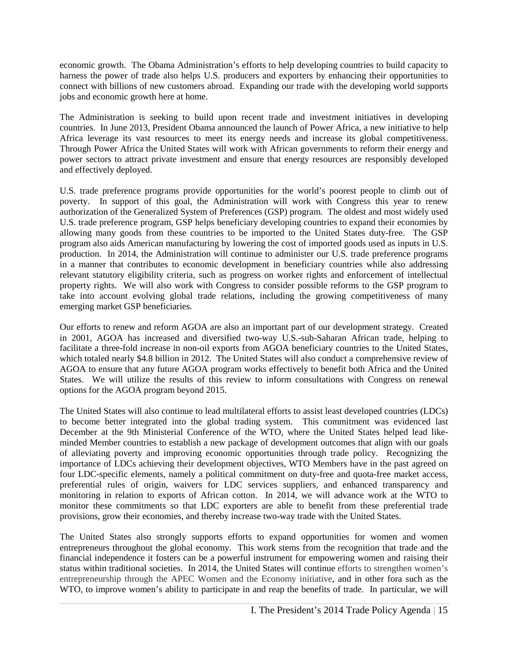economic growth. The Obama Administration's efforts to help developing countries to build capacity to harness the power of trade also helps U.S. producers and exporters by enhancing their opportunities to connect with billions of new customers abroad. Expanding our trade with the developing world supports jobs and economic growth here at home.

The Administration is seeking to build upon recent trade and investment initiatives in developing countries. In June 2013, President Obama announced the launch of Power Africa, a new initiative to help Africa leverage its vast resources to meet its energy needs and increase its global competitiveness. Through Power Africa the United States will work with African governments to reform their energy and power sectors to attract private investment and ensure that energy resources are responsibly developed and effectively deployed.

U.S. trade preference programs provide opportunities for the world's poorest people to climb out of poverty. In support of this goal, the Administration will work with Congress this year to renew authorization of the Generalized System of Preferences (GSP) program. The oldest and most widely used U.S. trade preference program, GSP helps beneficiary developing countries to expand their economies by allowing many goods from these countries to be imported to the United States duty-free. The GSP program also aids American manufacturing by lowering the cost of imported goods used as inputs in U.S. production. In 2014, the Administration will continue to administer our U.S. trade preference programs in a manner that contributes to economic development in beneficiary countries while also addressing relevant statutory eligibility criteria, such as progress on worker rights and enforcement of intellectual property rights. We will also work with Congress to consider possible reforms to the GSP program to take into account evolving global trade relations, including the growing competitiveness of many emerging market GSP beneficiaries.

Our efforts to renew and reform AGOA are also an important part of our development strategy. Created in 2001, AGOA has increased and diversified two-way U.S.-sub-Saharan African trade, helping to facilitate a three-fold increase in non-oil exports from AGOA beneficiary countries to the United States, which totaled nearly \$4.8 billion in 2012. The United States will also conduct a comprehensive review of AGOA to ensure that any future AGOA program works effectively to benefit both Africa and the United States. We will utilize the results of this review to inform consultations with Congress on renewal options for the AGOA program beyond 2015.

The United States will also continue to lead multilateral efforts to assist least developed countries (LDCs) to become better integrated into the global trading system. This commitment was evidenced last December at the 9th Ministerial Conference of the WTO, where the United States helped lead likeminded Member countries to establish a new package of development outcomes that align with our goals of alleviating poverty and improving economic opportunities through trade policy. Recognizing the importance of LDCs achieving their development objectives, WTO Members have in the past agreed on four LDC-specific elements, namely a political commitment on duty-free and quota-free market access, preferential rules of origin, waivers for LDC services suppliers, and enhanced transparency and monitoring in relation to exports of African cotton. In 2014, we will advance work at the WTO to monitor these commitments so that LDC exporters are able to benefit from these preferential trade provisions, grow their economies, and thereby increase two-way trade with the United States.

The United States also strongly supports efforts to expand opportunities for women and women entrepreneurs throughout the global economy. This work stems from the recognition that trade and the financial independence it fosters can be a powerful instrument for empowering women and raising their status within traditional societies. In 2014, the United States will continue efforts to strengthen women's entrepreneurship through the APEC Women and the Economy initiative, and in other fora such as the WTO, to improve women's ability to participate in and reap the benefits of trade. In particular, we will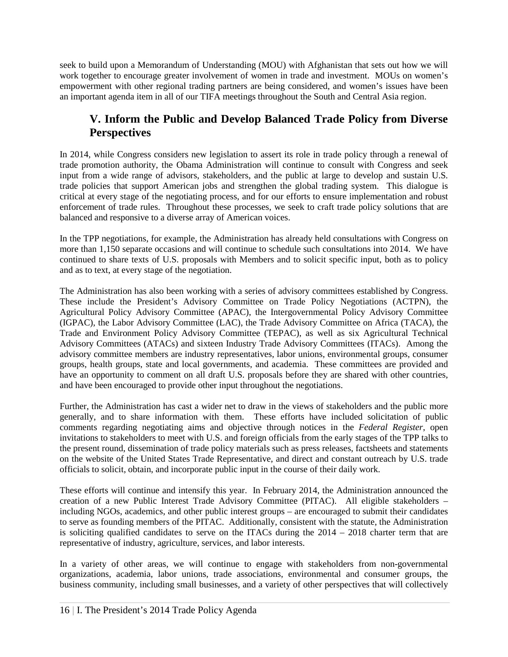seek to build upon a Memorandum of Understanding (MOU) with Afghanistan that sets out how we will work together to encourage greater involvement of women in trade and investment. MOUs on women's empowerment with other regional trading partners are being considered, and women's issues have been an important agenda item in all of our TIFA meetings throughout the South and Central Asia region.

# **V. Inform the Public and Develop Balanced Trade Policy from Diverse Perspectives**

In 2014, while Congress considers new legislation to assert its role in trade policy through a renewal of trade promotion authority, the Obama Administration will continue to consult with Congress and seek input from a wide range of advisors, stakeholders, and the public at large to develop and sustain U.S. trade policies that support American jobs and strengthen the global trading system. This dialogue is critical at every stage of the negotiating process, and for our efforts to ensure implementation and robust enforcement of trade rules. Throughout these processes, we seek to craft trade policy solutions that are balanced and responsive to a diverse array of American voices.

In the TPP negotiations, for example, the Administration has already held consultations with Congress on more than 1,150 separate occasions and will continue to schedule such consultations into 2014. We have continued to share texts of U.S. proposals with Members and to solicit specific input, both as to policy and as to text, at every stage of the negotiation.

The Administration has also been working with a series of advisory committees established by Congress. These include the President's Advisory Committee on Trade Policy Negotiations (ACTPN), the Agricultural Policy Advisory Committee (APAC), the Intergovernmental Policy Advisory Committee (IGPAC), the Labor Advisory Committee (LAC), the Trade Advisory Committee on Africa (TACA), the Trade and Environment Policy Advisory Committee (TEPAC), as well as six Agricultural Technical Advisory Committees (ATACs) and sixteen Industry Trade Advisory Committees (ITACs). Among the advisory committee members are industry representatives, labor unions, environmental groups, consumer groups, health groups, state and local governments, and academia. These committees are provided and have an opportunity to comment on all draft U.S. proposals before they are shared with other countries, and have been encouraged to provide other input throughout the negotiations.

Further, the Administration has cast a wider net to draw in the views of stakeholders and the public more generally, and to share information with them. These efforts have included solicitation of public comments regarding negotiating aims and objective through notices in the *Federal Register*, open invitations to stakeholders to meet with U.S. and foreign officials from the early stages of the TPP talks to the present round, dissemination of trade policy materials such as press releases, factsheets and statements on the website of the United States Trade Representative, and direct and constant outreach by U.S. trade officials to solicit, obtain, and incorporate public input in the course of their daily work.

These efforts will continue and intensify this year. In February 2014, the Administration announced the creation of a new Public Interest Trade Advisory Committee (PITAC). All eligible stakeholders – including NGOs, academics, and other public interest groups – are encouraged to submit their candidates to serve as founding members of the PITAC. Additionally, consistent with the statute, the Administration is soliciting qualified candidates to serve on the ITACs during the  $2014 - 2018$  charter term that are representative of industry, agriculture, services, and labor interests.

In a variety of other areas, we will continue to engage with stakeholders from non-governmental organizations, academia, labor unions, trade associations, environmental and consumer groups, the business community, including small businesses, and a variety of other perspectives that will collectively